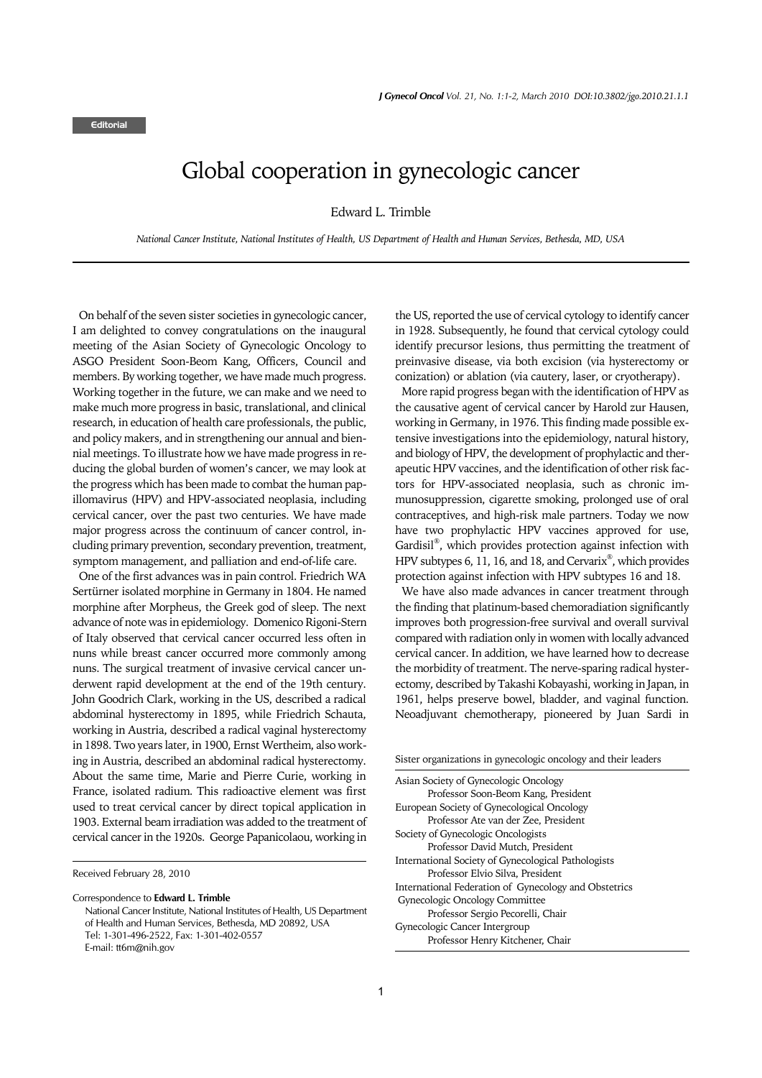## Global cooperation in gynecologic cancer

Edward L. Trimble

*National Cancer Institute, National Institutes of Health, US Department of Health and Human Services, Bethesda, MD, USA*

On behalf of the seven sister societies in gynecologic cancer, I am delighted to convey congratulations on the inaugural meeting of the Asian Society of Gynecologic Oncology to ASGO President Soon-Beom Kang, Officers, Council and members. By working together, we have made much progress. Working together in the future, we can make and we need to make much more progress in basic, translational, and clinical research, in education of health care professionals, the public, and policy makers, and in strengthening our annual and biennial meetings. To illustrate how we have made progress in reducing the global burden of women's cancer, we may look at the progress which has been made to combat the human papillomavirus (HPV) and HPV-associated neoplasia, including cervical cancer, over the past two centuries. We have made major progress across the continuum of cancer control, including primary prevention, secondary prevention, treatment, symptom management, and palliation and end-of-life care.

One of the first advances was in pain control. Friedrich WA Sertürner isolated morphine in Germany in 1804. He named morphine after Morpheus, the Greek god of sleep. The next advance of note was in epidemiology. Domenico Rigoni-Stern of Italy observed that cervical cancer occurred less often in nuns while breast cancer occurred more commonly among nuns. The surgical treatment of invasive cervical cancer underwent rapid development at the end of the 19th century. John Goodrich Clark, working in the US, described a radical abdominal hysterectomy in 1895, while Friedrich Schauta, working in Austria, described a radical vaginal hysterectomy in 1898. Two years later, in 1900, Ernst Wertheim, also working in Austria, described an abdominal radical hysterectomy. About the same time, Marie and Pierre Curie, working in France, isolated radium. This radioactive element was first used to treat cervical cancer by direct topical application in 1903. External beam irradiation was added to the treatment of cervical cancer in the 1920s. George Papanicolaou, working in

the US, reported the use of cervical cytology to identify cancer in 1928. Subsequently, he found that cervical cytology could identify precursor lesions, thus permitting the treatment of preinvasive disease, via both excision (via hysterectomy or conization) or ablation (via cautery, laser, or cryotherapy).

More rapid progress began with the identification of HPV as the causative agent of cervical cancer by Harold zur Hausen, working in Germany, in 1976. This finding made possible extensive investigations into the epidemiology, natural history, and biology of HPV, the development of prophylactic and therapeutic HPV vaccines, and the identification of other risk factors for HPV-associated neoplasia, such as chronic immunosuppression, cigarette smoking, prolonged use of oral contraceptives, and high-risk male partners. Today we now have two prophylactic HPV vaccines approved for use, Gardisil<sup>®</sup>, which provides protection against infection with HPV subtypes 6, 11, 16, and 18, and Cervarix® , which provides protection against infection with HPV subtypes 16 and 18.

We have also made advances in cancer treatment through the finding that platinum-based chemoradiation significantly improves both progression-free survival and overall survival compared with radiation only in women with locally advanced cervical cancer. In addition, we have learned how to decrease the morbidity of treatment. The nerve-sparing radical hysterectomy, described by Takashi Kobayashi, working in Japan, in 1961, helps preserve bowel, bladder, and vaginal function. Neoadjuvant chemotherapy, pioneered by Juan Sardi in

| Sister organizations in gynecologic oncology and their leaders |
|----------------------------------------------------------------|
| Asian Society of Gynecologic Oncology                          |
| Professor Soon-Beom Kang, President                            |
| European Society of Gynecological Oncology                     |
| Professor Ate van der Zee. President                           |
| Society of Gynecologic Oncologists                             |
| Professor David Mutch, President                               |
| International Society of Gynecological Pathologists            |
| Professor Elvio Silva, President                               |
| International Federation of Gynecology and Obstetrics          |
| Gynecologic Oncology Committee                                 |
| Professor Sergio Pecorelli, Chair                              |
| Gynecologic Cancer Intergroup                                  |
| Professor Henry Kitchener, Chair                               |

Received February 28, 2010

Correspondence to **Edward L. Trimble** National Cancer Institute, National Institutes of Health, US Department of Health and Human Services, Bethesda, MD 20892, USA Tel: 1-301-496-2522, Fax: 1-301-402-0557 E-mail: tt6m@nih.gov